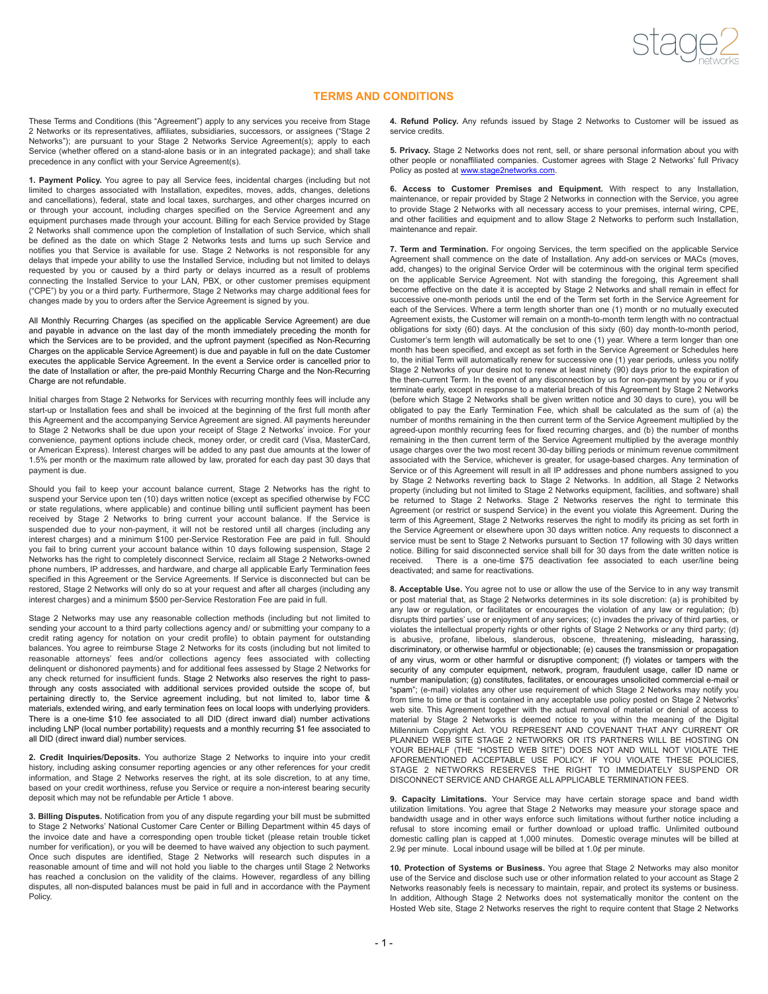

## **TERMS AND CONDITIONS**

These Terms and Conditions (this "Agreement") apply to any services you receive from Stage 2 Networks or its representatives, affiliates, subsidiaries, successors, or assignees ("Stage 2 Networks"); are pursuant to your Stage 2 Networks Service Agreement(s); apply to each Service (whether offered on a stand-alone basis or in an integrated package); and shall take precedence in any conflict with your Service Agreement(s).

**1. Payment Policy.** You agree to pay all Service fees, incidental charges (including but not limited to charges associated with Installation, expedites, moves, adds, changes, deletions and cancellations), federal, state and local taxes, surcharges, and other charges incurred on or through your account, including charges specified on the Service Agreement and any equipment purchases made through your account. Billing for each Service provided by Stage 2 Networks shall commence upon the completion of Installation of such Service, which shall be defined as the date on which Stage 2 Networks tests and turns up such Service and notifies you that Service is available for use. Stage 2 Networks is not responsible for any delays that impede your ability to use the Installed Service, including but not limited to delays requested by you or caused by a third party or delays incurred as a result of problems connecting the Installed Service to your LAN, PBX, or other customer premises equipment ("CPE") by you or a third party. Furthermore, Stage 2 Networks may charge additional fees for changes made by you to orders after the Service Agreement is signed by you.

All Monthly Recurring Charges (as specified on the applicable Service Agreement) are due and payable in advance on the last day of the month immediately preceding the month for which the Services are to be provided, and the upfront payment (specified as Non-Recurring Charges on the applicable Service Agreement) is due and payable in full on the date Customer executes the applicable Service Agreement. In the event a Service order is cancelled prior to the date of Installation or after, the pre-paid Monthly Recurring Charge and the Non-Recurring Charge are not refundable.

Initial charges from Stage 2 Networks for Services with recurring monthly fees will include any start-up or Installation fees and shall be invoiced at the beginning of the first full month after this Agreement and the accompanying Service Agreement are signed. All payments hereunder to Stage 2 Networks shall be due upon your receipt of Stage 2 Networks' invoice. For your convenience, payment options include check, money order, or credit card (Visa, MasterCard, or American Express). Interest charges will be added to any past due amounts at the lower of 1.5% per month or the maximum rate allowed by law, prorated for each day past 30 days that payment is due.

Should you fail to keep your account balance current, Stage 2 Networks has the right to suspend your Service upon ten (10) days written notice (except as specified otherwise by FCC or state regulations, where applicable) and continue billing until sufficient payment has been received by Stage 2 Networks to bring current your account balance. If the Service is suspended due to your non-payment, it will not be restored until all charges (including any interest charges) and a minimum \$100 per-Service Restoration Fee are paid in full. Should you fail to bring current your account balance within 10 days following suspension, Stage 2 Networks has the right to completely disconnect Service, reclaim all Stage 2 Networks-owned phone numbers, IP addresses, and hardware, and charge all applicable Early Termination fees specified in this Agreement or the Service Agreements. If Service is disconnected but can be restored, Stage 2 Networks will only do so at your request and after all charges (including any interest charges) and a minimum \$500 per-Service Restoration Fee are paid in full.

Stage 2 Networks may use any reasonable collection methods (including but not limited to sending your account to a third party collections agency and/ or submitting your company to a credit rating agency for notation on your credit profile) to obtain payment for outstanding balances. You agree to reimburse Stage 2 Networks for its costs (including but not limited to reasonable attorneys' fees and/or collections agency fees associated with collecting delinquent or dishonored payments) and for additional fees assessed by Stage 2 Networks for any check returned for insufficient funds. Stage 2 Networks also reserves the right to passthrough any costs associated with additional services provided outside the scope of, but pertaining directly to, the Service agreement including, but not limited to, labor time & materials, extended wiring, and early termination fees on local loops with underlying providers. There is a one-time \$10 fee associated to all DID (direct inward dial) number activations including LNP (local number portability) requests and a monthly recurring \$1 fee associated to all DID (direct inward dial) number services.

**2. Credit Inquiries/Deposits.** You authorize Stage 2 Networks to inquire into your credit history, including asking consumer reporting agencies or any other references for your credit information, and Stage 2 Networks reserves the right, at its sole discretion, to at any time, based on your credit worthiness, refuse you Service or require a non-interest bearing security deposit which may not be refundable per Article 1 above.

**3. Billing Disputes.** Notification from you of any dispute regarding your bill must be submitted to Stage 2 Networks' National Customer Care Center or Billing Department within 45 days of the invoice date and have a corresponding open trouble ticket (please retain trouble ticket number for verification), or you will be deemed to have waived any objection to such payment. Once such disputes are identified, Stage 2 Networks will research such disputes in a reasonable amount of time and will not hold you liable to the charges until Stage 2 Networks has reached a conclusion on the validity of the claims. However, regardless of any billing disputes, all non-disputed balances must be paid in full and in accordance with the Payment Policy.

**4. Refund Policy.** Any refunds issued by Stage 2 Networks to Customer will be issued as service credits.

**5. Privacy.** Stage 2 Networks does not rent, sell, or share personal information about you with other people or nonaffiliated companies. Customer agrees with Stage 2 Networks' full Privacy Policy as posted at [www.stage2networks.com](http://www.stage2networks.com).

**6. Access to Customer Premises and Equipment.** With respect to any Installation, maintenance, or repair provided by Stage 2 Networks in connection with the Service, you agree to provide Stage 2 Networks with all necessary access to your premises, internal wiring, CPE, and other facilities and equipment and to allow Stage 2 Networks to perform such Installation, maintenance and repair.

**7. Term and Termination.** For ongoing Services, the term specified on the applicable Service Agreement shall commence on the date of Installation. Any add-on services or MACs (moves, add, changes) to the original Service Order will be coterminous with the original term specified on the applicable Service Agreement. Not with standing the foregoing, this Agreement shall become effective on the date it is accepted by Stage 2 Networks and shall remain in effect for successive one-month periods until the end of the Term set forth in the Service Agreement for each of the Services. Where a term length shorter than one (1) month or no mutually executed Agreement exists, the Customer will remain on a month-to-month term length with no contractual obligations for sixty (60) days. At the conclusion of this sixty (60) day month-to-month period, Customer's term length will automatically be set to one (1) year. Where a term longer than one month has been specified, and except as set forth in the Service Agreement or Schedules here to, the initial Term will automatically renew for successive one (1) year periods, unless you notify Stage 2 Networks of your desire not to renew at least ninety (90) days prior to the expiration of the then-current Term. In the event of any disconnection by us for non-payment by you or if you terminate early, except in response to a material breach of this Agreement by Stage 2 Networks (before which Stage 2 Networks shall be given written notice and 30 days to cure), you will be obligated to pay the Early Termination Fee, which shall be calculated as the sum of (a) the number of months remaining in the then current term of the Service Agreement multiplied by the agreed-upon monthly recurring fees for fixed recurring charges, and (b) the number of months remaining in the then current term of the Service Agreement multiplied by the average monthly usage charges over the two most recent 30-day billing periods or minimum revenue commitment associated with the Service, whichever is greater, for usage-based charges. Any termination of Service or of this Agreement will result in all IP addresses and phone numbers assigned to you by Stage 2 Networks reverting back to Stage 2 Networks. In addition, all Stage 2 Networks property (including but not limited to Stage 2 Networks equipment, facilities, and software) shall be returned to Stage 2 Networks. Stage 2 Networks reserves the right to terminate this Agreement (or restrict or suspend Service) in the event you violate this Agreement. During the term of this Agreement, Stage 2 Networks reserves the right to modify its pricing as set forth in the Service Agreement or elsewhere upon 30 days written notice. Any requests to disconnect a service must be sent to Stage 2 Networks pursuant to Section 17 following with 30 days written notice. Billing for said disconnected service shall bill for 30 days from the date written notice is received. There is a one-time \$75 deactivation fee associated to each user/line being deactivated; and same for reactivations.

**8. Acceptable Use.** You agree not to use or allow the use of the Service to in any way transmit or post material that, as Stage 2 Networks determines in its sole discretion: (a) is prohibited by any law or regulation, or facilitates or encourages the violation of any law or regulation; (b) disrupts third parties' use or enjoyment of any services; (c) invades the privacy of third parties, or violates the intellectual property rights or other rights of Stage 2 Networks or any third party; (d) is abusive, profane, libelous, slanderous, obscene, threatening, misleading, harassing, discriminatory, or otherwise harmful or objectionable; (e) causes the transmission or propagation of any virus, worm or other harmful or disruptive component; (f) violates or tampers with the security of any computer equipment, network, program, fraudulent usage, caller ID name or number manipulation; (g) constitutes, facilitates, or encourages unsolicited commercial e-mail or "spam"; (e-mail) violates any other use requirement of which Stage 2 Networks may notify you from time to time or that is contained in any acceptable use policy posted on Stage 2 Networks' web site. This Agreement together with the actual removal of material or denial of access to material by Stage 2 Networks is deemed notice to you within the meaning of the Digital Millennium Copyright Act. YOU REPRESENT AND COVENANT THAT ANY CURRENT OR PLANNED WEB SITE STAGE 2 NETWORKS OR ITS PARTNERS WILL BE HOSTING ON YOUR BEHALF (THE "HOSTED WEB SITE") DOES NOT AND WILL NOT VIOLATE THE AFOREMENTIONED ACCEPTABLE USE POLICY. IF YOU VIOLATE THESE POLICIES, STAGE 2 NETWORKS RESERVES THE RIGHT TO IMMEDIATELY SUSPEND OR DISCONNECT SERVICE AND CHARGE ALL APPLICABLE TERMINATION FEES.

**9. Capacity Limitations.** Your Service may have certain storage space and band width utilization limitations. You agree that Stage 2 Networks may measure your storage space and bandwidth usage and in other ways enforce such limitations without further notice including a refusal to store incoming email or further download or upload traffic. Unlimited outbound domestic calling plan is capped at 1,000 minutes. Domestic overage minutes will be billed at 2.9¢ per minute. Local inbound usage will be billed at 1.0¢ per minute.

**10. Protection of** S**ystems or Business.** You agree that Stage 2 Networks may also monitor use of the Service and disclose such use or other information related to your account as Stage 2 Networks reasonably feels is necessary to maintain, repair, and protect its systems or business. In addition, Although Stage 2 Networks does not systematically monitor the content on the Hosted Web site, Stage 2 Networks reserves the right to require content that Stage 2 Networks